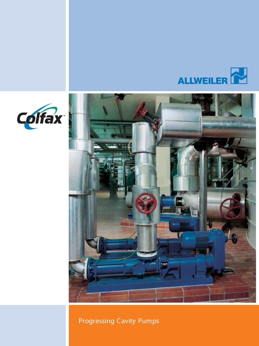





### Progressing Cavity Pumps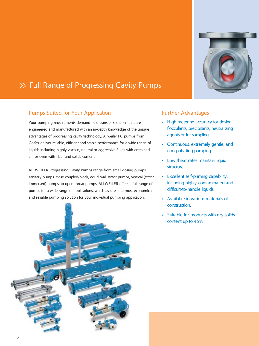

## >> Full Range of Progressing Cavity Pumps

### Pumps Suited for Your Application

Your pumping requirements demand fluid transfer solutions that are engineered and manufactured with an in-depth knowledge of the unique advantages of progressing cavity technology. Allweiler PC pumps from Colfax deliver reliable, efficient and stable performance for a wide range of liquids including highly viscous, neutral or aggressive fluids with entrained air, or even with fiber and solids content.

ALLWEILER Progressing Cavity Pumps range from small dosing pumps, sanitary pumps, close coupled/block, equal wall stator pumps, vertical (stator immersed) pumps, to open-throat pumps. ALLWEILER offers a full range of pumps for a wide range of applications, which assures the most economical and reliable pumping solution for your individual pumping application.



### Further Advantages

- *• High metering accuracy for dosing occulants, precipitants, neutralizing agents or for sampling*
- *• Continuous, extremely gentle, and non-pulsating pumping*
- *• Low shear rates maintain liquid structure*
- *• Excellent self-priming capability, including highly-contaminated and difcult-to-handle liquids.*
- *• Available in various materials of construction.*
- *• Suitable for products with dry solids content up to 45%.*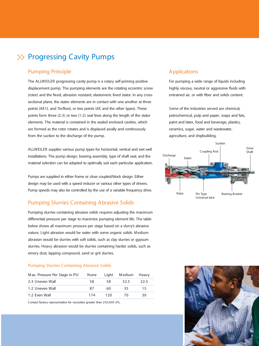## >> Progressing Cavity Pumps

### Pumping Principle

The ALLWEILER progressing cavity pump is a rotary self-priming positive displacement pump. The pumping elements are the rotating eccentric screw (rotor) and the fixed, abrasion resistant, elastomeric lined stator. In any crosssectional plane, the stator elements are in contact with one another at three points (AE1L and Tecflow), or two points (AE and the other types). These points form three (2:3) or two (1:2) seal lines along the length of the stator elements. The material is contained in the sealed enclosed cavities, which are formed as the rotor rotates and is displaced axially and continuously from the suction to the discharge of the pump.

ALLWEILER supplies various pump types for horizontal, vertical and wet well installations. The pump design, bearing assembly, type of shaft seal, and the material selection can be adapted to optimally suit each particular application.

Pumps are supplied in either frame or close coupled/block design. Either design may be used with a speed reducer or various other types of drivers. Pump speeds may also be controlled by the use of a variable frequency drive.

### Pumping Slurries Containing Abrasive Solids

Pumping slurries containing abrasive solids requires adjusting the maximum differential pressure per stage to maximize pumping element life. The table below shows all maximum pressure per stage based on a slurry's abrasive nature. Light abrasion would be water with some organic solids. Medium abrasion would be slurries with soft solids, such as clay slurries or gypsum slurries. Heavy abrasion would be slurries containing harder solids, such as emery dust, lapping compound, sand or grit slurries.

#### Pumping Slurries Containing Abrasive Solids

| Max. Pressure Per Stage in PSI | None |     | Light Medium Heavy |       |
|--------------------------------|------|-----|--------------------|-------|
| 2:3 Uneven Wall                | 58.  | 58. | 52.5               | -22.5 |
| 1:2 Uneven Wall                | 87   | 60  | 35.                | 15    |
| 1:2 Even Wall                  | 174  | 120 | 70.                | 30    |

Contact factory representative for viscosities greater than 250,000 cPs.

### Applications

For pumping a wide range of liquids including highly viscous, neutral or aggressive fluids with entrained air, or with fiber and solids content.

Some of the industries served are chemical, petrochemical, pulp and paper, soaps and fats, paint and latex, food and beverage, plastics, ceramics, sugar, water and wastewater, agriculture, and shipbuilding.



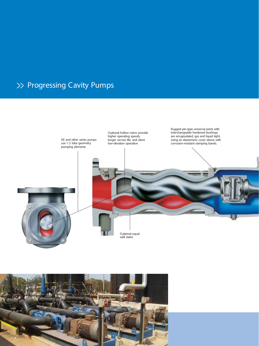# >> Progressing Cavity Pumps



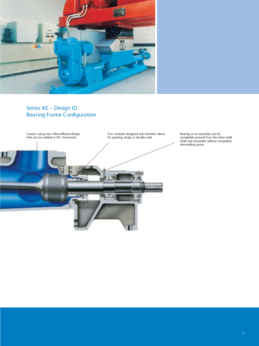

### *Series AE – Design ID* **Bearing Frame Configuration**



Bearing as an assembly can be completely pressed from the drive shaft. Shaft seal accessible without completely dismantling pump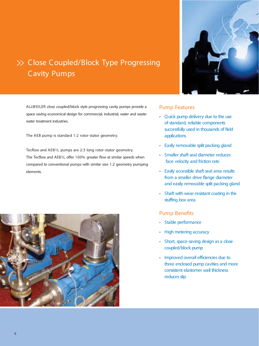# >> Close Coupled/Block Type Progressing Cavity Pumps

ALLWEILER close coupled/block style progressing cavity pumps provide a space saving economical design for commercial, industrial, water and wastewater treatment industries.

The AEB pump is standard 1:2 rotor-stator geometry.

Tecflow and AEB1L pumps are 2:3 long rotor-stator geometry. The Tecflow and AEB1L offer 100% greater flow at similar speeds when compared to conventional pumps with similar size 1:2 geometry pumping elements.



### Pump Features

- *• Quick pump delivery due to the use of standard, reliable components successfully used* in *thousands* of *field applications*
- *• Easily removable split packing gland*
- *• Smaller shaftseal diameter reduces face velocity and friction rate*
- **•** Easily accessible shaft seal area results *from* a smaller drive flange diameter *and easily removable split packing gland*
- *• Shaft with wear-resistant coating in the stufng box area*

### **Pump Benefits**

- *• Stable performance*
- *• High metering accuracy*
- *• Short, space-saving design as a close coupled/block pump*
- *• Improved overall efciencies due to three enclosed pump cavities and more consistent elastomer wall thickness* reduces slip

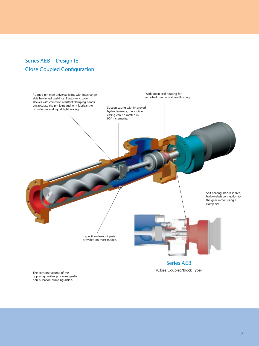### *Series AEB – Design IE Close Coupled Conguration*

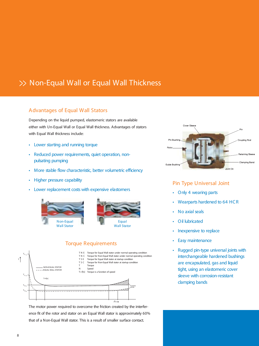## >> Non-Equal Wall or Equal Wall Thickness

### Advantages of Equal Wall Stators

Depending on the liquid pumped, elastomeric stators are available either with Un-Equal Wall or Equal Wall thickness. Advantages of stators with Equal Wall thickness include:

- *• Lower starting and running torque*
- *• Reduced power requirements, quiet operation, nonpulsating pumping*
- *• More stable ow characteristic, better volumetric efciency*
- *• Higher pressure capability*
- *• Lower replacement costs with expensive elastomers*



### Torque Requirements



The motor power required to overcome the friction created by the interference fit of the rotor and stator on an Equal Wall stator is approximately 60% that of a Non-Equal Wall stator. This is a result of smaller surface contact.



### Pin Type Universal Joint

- *• Only 4 wearing parts*
- *• Wearparts hardened to 64 HCR*
- *• No axial seals*
- *• Oil lubricated*
- *• Inexpensive to replace*
- *• Easy maintenance*
- *• Rugged pin-type universal joints with interchangeable hardened bushings are encapsulated, gas and liquid tight, using an elastomeric cover sleeve with corrosion-resistant clamping bands*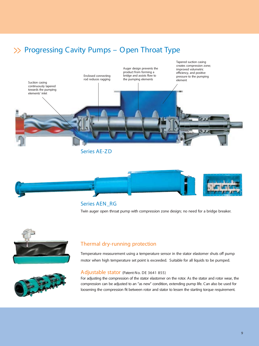# >> Progressing Cavity Pumps – Open Throat Type





### *Series AEN\_RG*

Twin auger open throat pump with compression zone design; no need for a bridge breaker.





Temperature measurement using a temperature sensor in the stator elastomer shuts off pump motor when high temperature set point is exceeded. Suitable for all liquids to be pumped.



### Adjustable stator (Patent-No. DE 3641 855)

For adjusting the compression of the stator elastomer on the rotor. As the stator and rotor wear, the compression can be adjusted to an "as new" condition, extending pump life. Can also be used for loosening the compression fit between rotor and stator to lessen the starting torque requirement.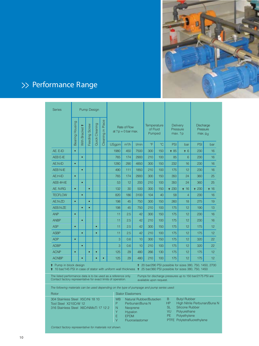

# >> Performance Range

| Series                                                                                                                                                                                                                               |                 | <b>Pump Design</b>                                                                     |                                        |                                                                                                                                                                                                                                                                                          |                                      |              |                                   |       |                                        |                 |                                              |                |       |                 |
|--------------------------------------------------------------------------------------------------------------------------------------------------------------------------------------------------------------------------------------|-----------------|----------------------------------------------------------------------------------------|----------------------------------------|------------------------------------------------------------------------------------------------------------------------------------------------------------------------------------------------------------------------------------------------------------------------------------------|--------------------------------------|--------------|-----------------------------------|-------|----------------------------------------|-----------------|----------------------------------------------|----------------|-------|-----------------|
|                                                                                                                                                                                                                                      | Bearing Housing | lace<br>Quick Cleaning<br>Feeding Screw<br>ᇟ<br><b>Bracket</b><br>$\equiv$<br>Cleaning |                                        |                                                                                                                                                                                                                                                                                          | Rate of Flow<br>at $?p = 0$ bar max. |              | Temperature<br>of Fluid<br>Pumped |       | <b>Delivery</b><br>Pressure<br>max. ?p |                 | Discharge<br>Pressure<br>max. p <sub>d</sub> |                |       |                 |
|                                                                                                                                                                                                                                      |                 | With                                                                                   |                                        |                                                                                                                                                                                                                                                                                          |                                      | <b>USgpm</b> | $m^3/h$                           | I/min | °F                                     | $\rm ^{\circ}C$ | PSI                                          | bar            | PSI   | bar             |
| AE. E-ID                                                                                                                                                                                                                             | $\bullet$       |                                                                                        |                                        |                                                                                                                                                                                                                                                                                          |                                      | 1980         | 450                               | 7500  | 300                                    | 150             | + 85                                         | $*6$           | 230   | 16              |
| <b>AEB E-IE</b>                                                                                                                                                                                                                      |                 | $\bullet$                                                                              |                                        |                                                                                                                                                                                                                                                                                          |                                      | 765          | 174                               | 2900  | 210                                    | 100             | 85                                           | 6              | 230   | 16              |
| <b>AE.N-ID</b>                                                                                                                                                                                                                       | $\bullet$       |                                                                                        |                                        |                                                                                                                                                                                                                                                                                          |                                      | 1280         | 290                               | 4850  | 300                                    | 150             | 232                                          | 16             | 230   | 16              |
| <b>AEB N-IE</b>                                                                                                                                                                                                                      |                 | $\bullet$                                                                              |                                        |                                                                                                                                                                                                                                                                                          |                                      | 490          | 111                               | 1850  | 210                                    | 100             | 175                                          | 12             | 230   | 16              |
| AE.H-ID                                                                                                                                                                                                                              | $\bullet$       |                                                                                        |                                        |                                                                                                                                                                                                                                                                                          |                                      | 765          | 174                               | 2900  | 300                                    | 150             | 350                                          | 24             | 360   | 25              |
| AEB 4H-IE                                                                                                                                                                                                                            |                 | $\bullet$                                                                              |                                        |                                                                                                                                                                                                                                                                                          |                                      | 53           | 12                                | 200   | 210                                    | 100             | 350                                          | 24             | 360   | 25              |
| AE. N-RG                                                                                                                                                                                                                             | $\bullet$       |                                                                                        | $\bullet$                              |                                                                                                                                                                                                                                                                                          |                                      | 132          | 30                                | 500   | 300                                    | 150             | + 230                                        | $*16$          | + 230 | $*16$           |
| <b>TECFLOW</b>                                                                                                                                                                                                                       |                 | $\bullet$                                                                              |                                        |                                                                                                                                                                                                                                                                                          |                                      | 820          | 186                               | 3100  | 104                                    | 40              | 58                                           | $\overline{4}$ | 230   | 16              |
| AE.N-ZD                                                                                                                                                                                                                              | $\bullet$       |                                                                                        | $\bullet$                              |                                                                                                                                                                                                                                                                                          |                                      | 198          | 45                                | 750   | 300                                    | 150             | 260                                          | 18             | 275   | 19              |
| AEB.N-ZE                                                                                                                                                                                                                             |                 | $\bullet$                                                                              | $\bullet$                              |                                                                                                                                                                                                                                                                                          |                                      | 198          | 45                                | 750   | 210                                    | 100             | 175                                          | 12             | 190   | 13              |
| <b>ANP</b>                                                                                                                                                                                                                           | $\bullet$       |                                                                                        |                                        |                                                                                                                                                                                                                                                                                          |                                      | 11           | 2.5                               | 42    | 300                                    | 150             | 175                                          | 12             | 230   | 16              |
| <b>ANBP</b>                                                                                                                                                                                                                          |                 | $\bullet$                                                                              |                                        |                                                                                                                                                                                                                                                                                          |                                      | 11           | 2.5                               | 42    | 210                                    | 100             | 175                                          | 12             | 230   | 16              |
| <b>ASP</b>                                                                                                                                                                                                                           | $\bullet$       |                                                                                        |                                        | $\bullet$                                                                                                                                                                                                                                                                                |                                      | 11           | 2.5                               | 42    | 300                                    | 150             | 175                                          | 12             | 175   | 12 <sup>°</sup> |
| <b>ASBP</b>                                                                                                                                                                                                                          |                 | $\bullet$                                                                              |                                        | $\bullet$                                                                                                                                                                                                                                                                                |                                      | 11           | 2.5                               | 42    | 210                                    | 100             | 175                                          | 12             | 175   | 12 <sup>2</sup> |
| <b>ADP</b>                                                                                                                                                                                                                           | $\bullet$       |                                                                                        |                                        |                                                                                                                                                                                                                                                                                          |                                      | 3            | 0.6                               | 10    | 300                                    | 150             | 175                                          | 12             | 320   | 22              |
| <b>ADBP</b>                                                                                                                                                                                                                          |                 | $\bullet$                                                                              |                                        |                                                                                                                                                                                                                                                                                          |                                      | 3            | 0.6                               | 10    | 210                                    | 100             | 175                                          | 12             | 320   | 22              |
| <b>ACNP</b>                                                                                                                                                                                                                          | $\bullet$       |                                                                                        | $\bullet$                              | $\bullet$                                                                                                                                                                                                                                                                                |                                      | 125          | 29                                | 480   | 266                                    | 130             | 175                                          | 12             | 175   | 12 <sup>°</sup> |
| <b>ACNBP</b>                                                                                                                                                                                                                         |                 | $\bullet$                                                                              |                                        | $\bullet$                                                                                                                                                                                                                                                                                |                                      | 125          | 29                                | 480   | 210                                    | 100             | 175                                          | 12             | 175   | 12 <sup>2</sup> |
| Pump in block design<br><sup>1</sup> 20 bar/290 PSI possible for sizes 380, 750, 1450, 2700<br>10 bar/145 PSI in case of stator with uniform wall thickness $\dot{\mathbf{r}}$ 25 bar/360 PSI possible for sizes 380, 750, 1450<br>╬ |                 |                                                                                        |                                        |                                                                                                                                                                                                                                                                                          |                                      |              |                                   |       |                                        |                 |                                              |                |       |                 |
| The listed performance data is to be used as a reference only.<br>Pumps for discharge pressures up to 150 bar/2175 PSI are<br>Contact factory representative for exact limits of operation.<br>available upon request.               |                 |                                                                                        |                                        |                                                                                                                                                                                                                                                                                          |                                      |              |                                   |       |                                        |                 |                                              |                |       |                 |
| The following materials can be used depending on the type of pumpage and pump series used:                                                                                                                                           |                 |                                                                                        |                                        |                                                                                                                                                                                                                                                                                          |                                      |              |                                   |       |                                        |                 |                                              |                |       |                 |
| <b>Stator Elastomers</b><br>Rotor                                                                                                                                                                                                    |                 |                                                                                        |                                        |                                                                                                                                                                                                                                                                                          |                                      |              |                                   |       |                                        |                 |                                              |                |       |                 |
| 304 Stainless Steel X5CrNi 18 10<br>Tool Steel X210CrW 12<br>316 Stainless Steel X6CrNiMoTi 17 12 2                                                                                                                                  |                 |                                                                                        | WB<br>P<br>$\mathsf{N}$<br>Y<br>E<br>V | <b>Butyl Rubber</b><br>B.<br>Natural Rubber/Butadien<br><b>HP</b><br>High Nitrile Perbunan/Buna N<br>Perbunan/Buna N<br>Silicone Rubber<br>SL<br>Neoprene<br>VU<br>Polyurethane<br>Hypalon<br><b>PE</b><br>Polyethylene<br><b>EPDM</b><br>PTFE Polytetrafluorethylene<br>Fluoroelastomer |                                      |              |                                   |       |                                        |                 |                                              |                |       |                 |

*Contact factory representative for materials not shown.*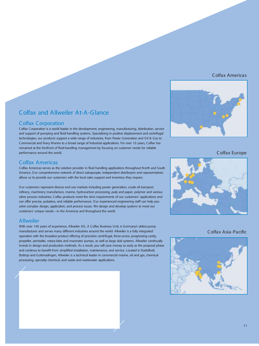#### *Colfax Americas*



#### Colfax Corporation

Colfax Corporation is a world leader in the development, engineering, manufacturing, distribution, service and support of pumping and fluid-handling systems. Specializing in positive displacement and centrifugal technologies, our products support a wide range of industries, from Power Generation and Oil & Gas to Commercial and Navy Marine to a broad range of Industrial applications. For over 10 years, Colfax has remained at the forefront of fluid-handling management by focusing on customer needs for reliable performance around the world.

### Colfax Americas

Colfax Americas serves as the solution provider in fluid handling applications throughout North and South America. Our comprehensive network of direct salespeople, independent distributors and representatives allows us to provide our customers with the local sales support and inventory they require.

Our customers represent diverse end use markets including power generation, crude oil transport, refinery, machinery manufacture, marine, hydrocarbon processing, pulp and paper, polymer and various other process industries. Colfax products meet the strict requirements of our customers' applications and can offer precise, pulseless, and reliable performance. Our experienced engineering staff can help you solve complex design, application, and process issues. We design and develop systems to meet our customers' unique needs—in the Americas and throughout the world.

### Allweiler

With over 140 years of experience, Allweiler AG, A Colfax Business Unit, is Germany's oldest pump manufacturer and serves many different industries around the world. Allweiler is a fully integrated operation with the broadest product offering of precision centrifugal, three-screw, progressing cavity, propeller, peristaltic, rotary-lobe and macerator pumps, as well as large skid systems. Allweiler continually invests in design and production methods. As a result, you will save money as early as the proposal phase and continue to benefit from simplified installation, maintenance, and service. Located in Radolfzell, Bottrop and Gottmadingen, Allweiler is a technical leader in commercial marine, oil and gas, chemical processing, specialty chemical, and waste and wastewater applications.



*Colfax Europe*



*Colfax Asia-Pacic*